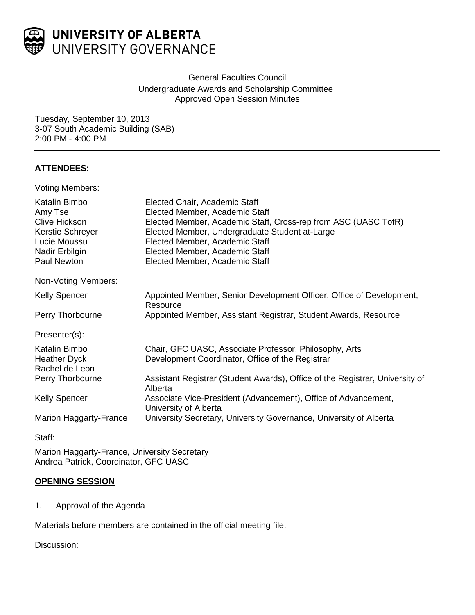

# General Faculties Council Undergraduate Awards and Scholarship Committee Approved Open Session Minutes

Tuesday, September 10, 2013 3-07 South Academic Building (SAB) 2:00 PM - 4:00 PM

# **ATTENDEES:**

## Voting Members:

| Katalin Bimbo<br>Amy Tse<br><b>Clive Hickson</b><br>Kerstie Schreyer<br>Lucie Moussu<br>Nadir Erbilgin<br>Paul Newton | Elected Chair, Academic Staff<br>Elected Member, Academic Staff<br>Elected Member, Academic Staff, Cross-rep from ASC (UASC TofR)<br>Elected Member, Undergraduate Student at-Large<br>Elected Member, Academic Staff<br>Elected Member, Academic Staff<br>Elected Member, Academic Staff |
|-----------------------------------------------------------------------------------------------------------------------|-------------------------------------------------------------------------------------------------------------------------------------------------------------------------------------------------------------------------------------------------------------------------------------------|
| Non-Voting Members:                                                                                                   |                                                                                                                                                                                                                                                                                           |
| <b>Kelly Spencer</b>                                                                                                  | Appointed Member, Senior Development Officer, Office of Development,<br>Resource                                                                                                                                                                                                          |
| Perry Thorbourne                                                                                                      | Appointed Member, Assistant Registrar, Student Awards, Resource                                                                                                                                                                                                                           |
| Presenter(s):                                                                                                         |                                                                                                                                                                                                                                                                                           |
| Katalin Bimbo<br><b>Heather Dyck</b><br>Rachel de Leon                                                                | Chair, GFC UASC, Associate Professor, Philosophy, Arts<br>Development Coordinator, Office of the Registrar                                                                                                                                                                                |
| Perry Thorbourne                                                                                                      | Assistant Registrar (Student Awards), Office of the Registrar, University of<br>Alberta                                                                                                                                                                                                   |
| <b>Kelly Spencer</b>                                                                                                  | Associate Vice-President (Advancement), Office of Advancement,<br>University of Alberta                                                                                                                                                                                                   |
| Marion Haggarty-France                                                                                                | University Secretary, University Governance, University of Alberta                                                                                                                                                                                                                        |

# Staff:

Marion Haggarty-France, University Secretary Andrea Patrick, Coordinator, GFC UASC

## **OPENING SESSION**

## 1. Approval of the Agenda

Materials before members are contained in the official meeting file.

Discussion: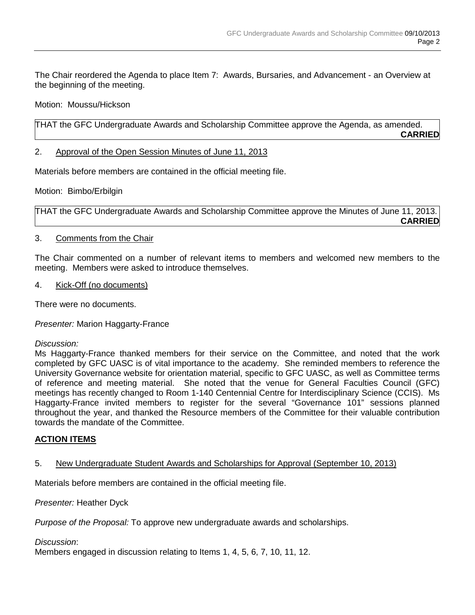The Chair reordered the Agenda to place Item 7: Awards, Bursaries, and Advancement - an Overview at the beginning of the meeting.

Motion: Moussu/Hickson

THAT the GFC Undergraduate Awards and Scholarship Committee approve the Agenda, as amended. **CARRIED**

2. Approval of the Open Session Minutes of June 11, 2013

Materials before members are contained in the official meeting file.

Motion: Bimbo/Erbilgin

THAT the GFC Undergraduate Awards and Scholarship Committee approve the Minutes of June 11, 2013. **CARRIED**

### 3. Comments from the Chair

The Chair commented on a number of relevant items to members and welcomed new members to the meeting. Members were asked to introduce themselves.

4. Kick-Off (no documents)

There were no documents.

*Presenter:* Marion Haggarty-France

#### *Discussion:*

Ms Haggarty-France thanked members for their service on the Committee, and noted that the work completed by GFC UASC is of vital importance to the academy. She reminded members to reference the University Governance website for orientation material, specific to GFC UASC, as well as Committee terms of reference and meeting material. She noted that the venue for General Faculties Council (GFC) meetings has recently changed to Room 1-140 Centennial Centre for Interdisciplinary Science (CCIS). Ms Haggarty-France invited members to register for the several "Governance 101" sessions planned throughout the year, and thanked the Resource members of the Committee for their valuable contribution towards the mandate of the Committee.

## **ACTION ITEMS**

## 5. New Undergraduate Student Awards and Scholarships for Approval (September 10, 2013)

Materials before members are contained in the official meeting file.

*Presenter:* Heather Dyck

*Purpose of the Proposal:* To approve new undergraduate awards and scholarships.

#### *Discussion*:

Members engaged in discussion relating to Items 1, 4, 5, 6, 7, 10, 11, 12.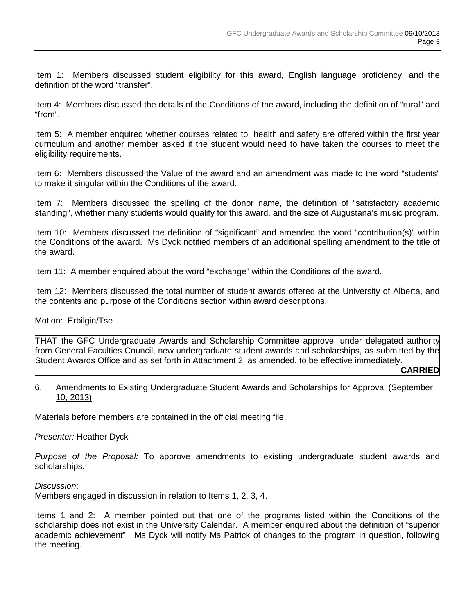Item 1: Members discussed student eligibility for this award, English language proficiency, and the definition of the word "transfer".

Item 4: Members discussed the details of the Conditions of the award, including the definition of "rural" and "from".

Item 5: A member enquired whether courses related to health and safety are offered within the first year curriculum and another member asked if the student would need to have taken the courses to meet the eligibility requirements.

Item 6: Members discussed the Value of the award and an amendment was made to the word "students" to make it singular within the Conditions of the award.

Item 7: Members discussed the spelling of the donor name, the definition of "satisfactory academic standing", whether many students would qualify for this award, and the size of Augustana's music program.

Item 10: Members discussed the definition of "significant" and amended the word "contribution(s)" within the Conditions of the award. Ms Dyck notified members of an additional spelling amendment to the title of the award.

Item 11: A member enquired about the word "exchange" within the Conditions of the award.

Item 12: Members discussed the total number of student awards offered at the University of Alberta, and the contents and purpose of the Conditions section within award descriptions.

#### Motion: Erbilgin/Tse

THAT the GFC Undergraduate Awards and Scholarship Committee approve, under delegated authority from General Faculties Council, new undergraduate student awards and scholarships, as submitted by the Student Awards Office and as set forth in Attachment 2, as amended, to be effective immediately.

#### **CARRIED**

#### 6. Amendments to Existing Undergraduate Student Awards and Scholarships for Approval (September 10, 2013)

Materials before members are contained in the official meeting file.

#### *Presenter:* Heather Dyck

*Purpose of the Proposal:* To approve amendments to existing undergraduate student awards and scholarships.

#### *Discussion*:

Members engaged in discussion in relation to Items 1, 2, 3, 4.

Items 1 and 2: A member pointed out that one of the programs listed within the Conditions of the scholarship does not exist in the University Calendar. A member enquired about the definition of "superior academic achievement". Ms Dyck will notify Ms Patrick of changes to the program in question, following the meeting.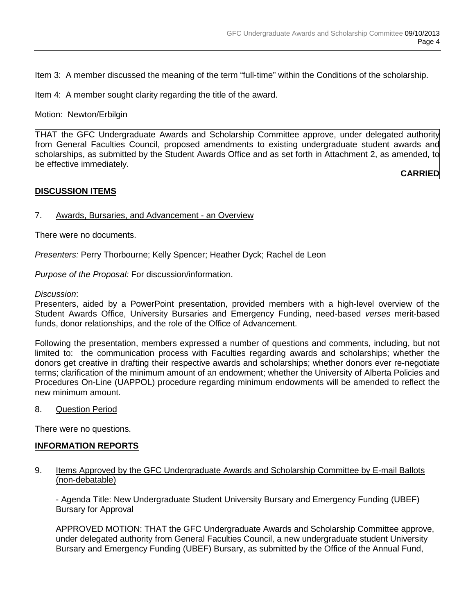Item 3: A member discussed the meaning of the term "full-time" within the Conditions of the scholarship.

Item 4: A member sought clarity regarding the title of the award.

Motion: Newton/Erbilgin

THAT the GFC Undergraduate Awards and Scholarship Committee approve, under delegated authority from General Faculties Council, proposed amendments to existing undergraduate student awards and scholarships, as submitted by the Student Awards Office and as set forth in Attachment 2, as amended, to be effective immediately.

**CARRIED**

### **DISCUSSION ITEMS**

#### 7. Awards, Bursaries, and Advancement - an Overview

There were no documents.

*Presenters:* Perry Thorbourne; Kelly Spencer; Heather Dyck; Rachel de Leon

*Purpose of the Proposal:* For discussion/information.

*Discussion*:

Presenters, aided by a PowerPoint presentation, provided members with a high-level overview of the Student Awards Office, University Bursaries and Emergency Funding, need-based *verses* merit-based funds, donor relationships, and the role of the Office of Advancement.

Following the presentation, members expressed a number of questions and comments, including, but not limited to: the communication process with Faculties regarding awards and scholarships; whether the donors get creative in drafting their respective awards and scholarships; whether donors ever re-negotiate terms; clarification of the minimum amount of an endowment; whether the University of Alberta Policies and Procedures On-Line (UAPPOL) procedure regarding minimum endowments will be amended to reflect the new minimum amount.

8. Question Period

There were no questions.

#### **INFORMATION REPORTS**

#### 9. Items Approved by the GFC Undergraduate Awards and Scholarship Committee by E-mail Ballots (non-debatable)

- Agenda Title: New Undergraduate Student University Bursary and Emergency Funding (UBEF) Bursary for Approval

APPROVED MOTION: THAT the GFC Undergraduate Awards and Scholarship Committee approve, under delegated authority from General Faculties Council, a new undergraduate student University Bursary and Emergency Funding (UBEF) Bursary, as submitted by the Office of the Annual Fund,